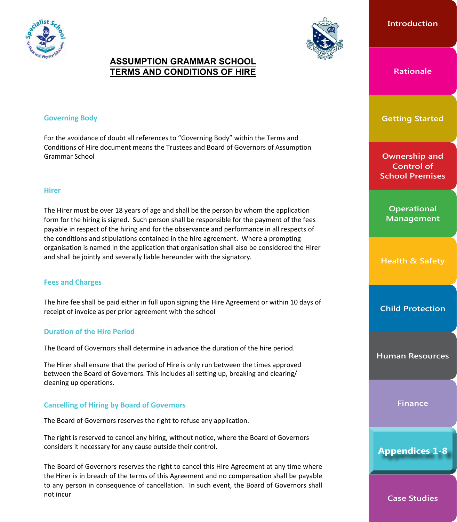



# **ASSUMPTION GRAMMAR SCHOOL TERMS AND CONDITIONS OF HIRE**

### **Governing Body**

For the avoidance of doubt all references to "Governing Body" within the Terms and Conditions of Hire document means the Trustees and Board of Governors of Assumption Grammar School

#### **Hirer**

The Hirer must be over 18 years of age and shall be the person by whom the application form for the hiring is signed. Such person shall be responsible for the payment of the fees payable in respect of the hiring and for the observance and performance in all respects of the conditions and stipulations contained in the hire agreement. Where a prompting organisation is named in the application that organisation shall also be considered the Hirer and shall be jointly and severally liable hereunder with the signatory.

# **Fees and Charges**

The hire fee shall be paid either in full upon signing the Hire Agreement or within 10 days of receipt of invoice as per prior agreement with the school

# **Duration of the Hire Period**

The Board of Governors shall determine in advance the duration of the hire period.

The Hirer shall ensure that the period of Hire is only run between the times approved between the Board of Governors. This includes all setting up, breaking and clearing/ cleaning up operations.

#### **Cancelling of Hiring by Board of Governors**

The Board of Governors reserves the right to refuse any application.

The right is reserved to cancel any hiring, without notice, where the Board of Governors considers it necessary for any cause outside their control.

The Board of Governors reserves the right to cancel this Hire Agreement at any time where the Hirer is in breach of the terms of this Agreement and no compensation shall be payable to any person in consequence of cancellation. In such event, the Board of Governors shall not incur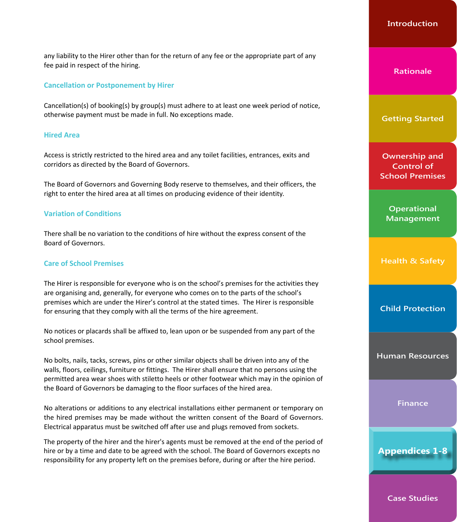any liability to the Hirer other than for the return of any fee or the appropriate part of any fee paid in respect of the hiring.

#### **Cancellation or Postponement by Hirer**

Cancellation(s) of booking(s) by group(s) must adhere to at least one week period of notice, otherwise payment must be made in full. No exceptions made.

#### **Hired Area**

Access is strictly restricted to the hired area and any toilet facilities, entrances, exits and corridors as directed by the Board of Governors.

The Board of Governors and Governing Body reserve to themselves, and their officers, the right to enter the hired area at all times on producing evidence of their identity.

#### **Variation of Conditions**

There shall be no variation to the conditions of hire without the express consent of the Board of Governors.

#### **Care of School Premises**

The Hirer is responsible for everyone who is on the school's premises for the activities they are organising and, generally, for everyone who comes on to the parts of the school's premises which are under the Hirer's control at the stated times. The Hirer is responsible for ensuring that they comply with all the terms of the hire agreement.

No notices or placards shall be affixed to, lean upon or be suspended from any part of the school premises.

No bolts, nails, tacks, screws, pins or other similar objects shall be driven into any of the walls, floors, ceilings, furniture or fittings. The Hirer shall ensure that no persons using the permitted area wear shoes with stiletto heels or other footwear which may in the opinion of the Board of Governors be damaging to the floor surfaces of the hired area.

No alterations or additions to any electrical installations either permanent or temporary on the hired premises may be made without the written consent of the Board of Governors. Electrical apparatus must be switched off after use and plugs removed from sockets.

The property of the hirer and the hirer's agents must be removed at the end of the period of hire or by a time and date to be agreed with the school. The Board of Governors excepts no responsibility for any property left on the premises before, during or after the hire period.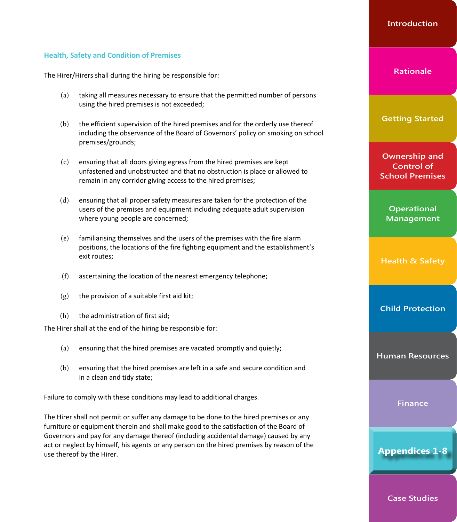# **Health, Safety and Condition of Premises**

The Hirer/Hirers shall during the hiring be responsible for:

- (a) taking all measures necessary to ensure that the permitted number of persons using the hired premises is not exceeded;
- (b) the efficient supervision of the hired premises and for the orderly use thereof including the observance of the Board of Governors' policy on smoking on school premises/grounds;
- (c) ensuring that all doors giving egress from the hired premises are kept unfastened and unobstructed and that no obstruction is place or allowed to remain in any corridor giving access to the hired premises;
- (d) ensuring that all proper safety measures are taken for the protection of the users of the premises and equipment including adequate adult supervision where young people are concerned;
- (e) familiarising themselves and the users of the premises with the fire alarm positions, the locations of the fire fighting equipment and the establishment's exit routes;
- (f) ascertaining the location of the nearest emergency telephone;
- $(g)$  the provision of a suitable first aid kit;
- (h) the administration of first aid;

The Hirer shall at the end of the hiring be responsible for:

- (a) ensuring that the hired premises are vacated promptly and quietly;
- (b) ensuring that the hired premises are left in a safe and secure condition and in a clean and tidy state;

Failure to comply with these conditions may lead to additional charges.

The Hirer shall not permit or suffer any damage to be done to the hired premises or any furniture or equipment therein and shall make good to the satisfaction of the Board of Governors and pay for any damage thereof (including accidental damage) caused by any act or neglect by himself, his agents or any person on the hired premises by reason of the use thereof by the Hirer.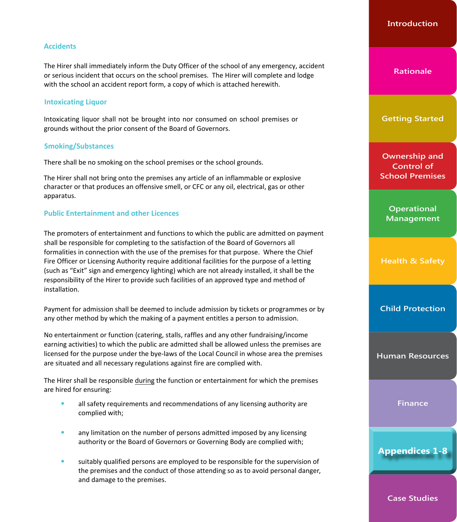# **Accidents**

The Hirer shall immediately inform the Duty Officer of the school of any emergency, accident or serious incident that occurs on the school premises. The Hirer will complete and lodge with the school an accident report form, a copy of which is attached herewith.

#### **Intoxicating Liquor**

Intoxicating liquor shall not be brought into nor consumed on school premises or grounds without the prior consent of the Board of Governors.

## **Smoking/Substances**

There shall be no smoking on the school premises or the school grounds.

The Hirer shall not bring onto the premises any article of an inflammable or explosive character or that produces an offensive smell, or CFC or any oil, electrical, gas or other apparatus.

## **Public Entertainment and other Licences**

The promoters of entertainment and functions to which the public are admitted on payment shall be responsible for completing to the satisfaction of the Board of Governors all formalities in connection with the use of the premises for that purpose. Where the Chief Fire Officer or Licensing Authority require additional facilities for the purpose of a letting (such as "Exit" sign and emergency lighting) which are not already installed, it shall be the responsibility of the Hirer to provide such facilities of an approved type and method of installation.

Payment for admission shall be deemed to include admission by tickets or programmes or by any other method by which the making of a payment entitles a person to admission.

No entertainment or function (catering, stalls, raffles and any other fundraising/income earning activities) to which the public are admitted shall be allowed unless the premises are licensed for the purpose under the bye-laws of the Local Council in whose area the premises are situated and all necessary regulations against fire are complied with.

The Hirer shall be responsible during the function or entertainment for which the premises are hired for ensuring:

- all safety requirements and recommendations of any licensing authority are complied with;
- any limitation on the number of persons admitted imposed by any licensing authority or the Board of Governors or Governing Body are complied with;
- suitably qualified persons are employed to be responsible for the supervision of the premises and the conduct of those attending so as to avoid personal danger, and damage to the premises.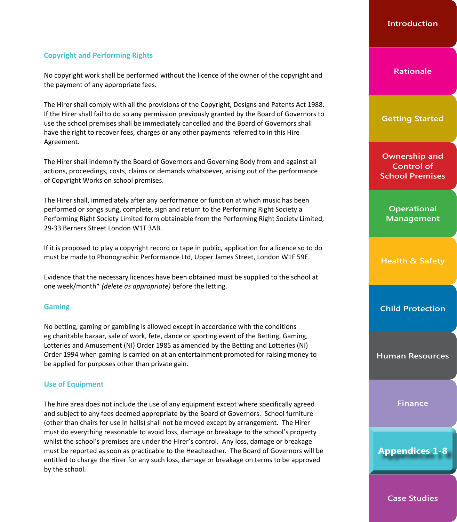# **Copyright and Performing Rights**

No copyright work shall be performed without the licence of the owner of the copyright and the payment of any appropriate fees.

The Hirer shall comply with all the provisions of the Copyright, Designs and Patents Act 1988. If the Hirer shall fail to do so any permission previously granted by the Board of Governors to use the school premises shall be immediately cancelled and the Board of Governors shall have the right to recover fees, charges or any other payments referred to in this Hire Agreement.

The Hirer shall indemnify the Board of Governors and Governing Body from and against all actions, proceedings, costs, claims or demands whatsoever, arising out of the performance of Copyright Works on school premises.

The Hirer shall, immediately after any performance or function at which music has been performed or songs sung, complete, sign and return to the Performing Right Society a Performing Right Society Limited form obtainable from the Performing Right Society Limited, 29-33 Berners Street London W1T 3AB.

If it is proposed to play a copyright record or tape in public, application for a licence so to do must be made to Phonographic Performance Ltd, Upper James Street, London W1F 59E.

Evidence that the necessary licences have been obtained must be supplied to the school at one week/month\* *(delete as appropriate)* before the letting.

# **Gaming**

No betting, gaming or gambling is allowed except in accordance with the conditions eg charitable bazaar, sale of work, fete, dance or sporting event of the Betting, Gaming, Lotteries and Amusement (NI) Order 1985 as amended by the Betting and Lotteries (NI) Order 1994 when gaming is carried on at an entertainment promoted for raising money to be applied for purposes other than private gain.

#### **Use of Equipment**

The hire area does not include the use of any equipment except where specifically agreed and subject to any fees deemed appropriate by the Board of Governors. School furniture (other than chairs for use in halls) shall not be moved except by arrangement. The Hirer must do everything reasonable to avoid loss, damage or breakage to the school's property whilst the school's premises are under the Hirer's control. Any loss, damage or breakage must be reported as soon as practicable to the Headteacher. The Board of Governors will be entitled to charge the Hirer for any such loss, damage or breakage on terms to be approved by the school.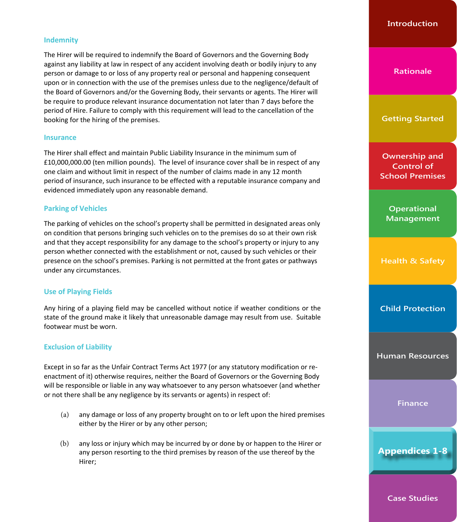# **Indemnity**

The Hirer will be required to indemnify the Board of Governors and the Governing Body against any liability at law in respect of any accident involving death or bodily injury to any person or damage to or loss of any property real or personal and happening consequent upon or in connection with the use of the premises unless due to the negligence/default of the Board of Governors and/or the Governing Body, their servants or agents. The Hirer will be require to produce relevant insurance documentation not later than 7 days before the period of Hire. Failure to comply with this requirement will lead to the cancellation of the booking for the hiring of the premises.

#### **Insurance**

The Hirer shall effect and maintain Public Liability Insurance in the minimum sum of £10,000,000.00 (ten million pounds). The level of insurance cover shall be in respect of any one claim and without limit in respect of the number of claims made in any 12 month period of insurance, such insurance to be effected with a reputable insurance company and evidenced immediately upon any reasonable demand.

## **Parking of Vehicles**

The parking of vehicles on the school's property shall be permitted in designated areas only on condition that persons bringing such vehicles on to the premises do so at their own risk and that they accept responsibility for any damage to the school's property or injury to any person whether connected with the establishment or not, caused by such vehicles or their presence on the school's premises. Parking is not permitted at the front gates or pathways under any circumstances.

#### **Use of Playing Fields**

Any hiring of a playing field may be cancelled without notice if weather conditions or the state of the ground make it likely that unreasonable damage may result from use. Suitable footwear must be worn.

#### **Exclusion of Liability**

Except in so far as the Unfair Contract Terms Act 1977 (or any statutory modification or reenactment of it) otherwise requires, neither the Board of Governors or the Governing Body will be responsible or liable in any way whatsoever to any person whatsoever (and whether or not there shall be any negligence by its servants or agents) in respect of:

- (a) any damage or loss of any property brought on to or left upon the hired premises either by the Hirer or by any other person;
- (b) any loss or injury which may be incurred by or done by or happen to the Hirer or any person resorting to the third premises by reason of the use thereof by the Hirer;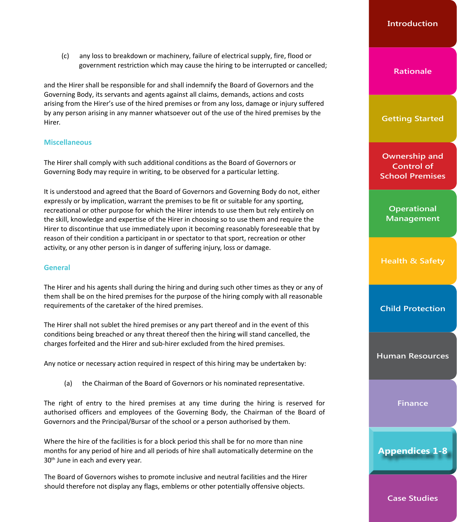(c) any loss to breakdown or machinery, failure of electrical supply, fire, flood or government restriction which may cause the hiring to be interrupted or cancelled;

and the Hirer shall be responsible for and shall indemnify the Board of Governors and the Governing Body, its servants and agents against all claims, demands, actions and costs arising from the Hirer's use of the hired premises or from any loss, damage or injury suffered by any person arising in any manner whatsoever out of the use of the hired premises by the Hirer.

#### **Miscellaneous**

The Hirer shall comply with such additional conditions as the Board of Governors or Governing Body may require in writing, to be observed for a particular letting.

It is understood and agreed that the Board of Governors and Governing Body do not, either expressly or by implication, warrant the premises to be fit or suitable for any sporting, recreational or other purpose for which the Hirer intends to use them but rely entirely on the skill, knowledge and expertise of the Hirer in choosing so to use them and require the Hirer to discontinue that use immediately upon it becoming reasonably foreseeable that by reason of their condition a participant in or spectator to that sport, recreation or other activity, or any other person is in danger of suffering injury, loss or damage.

# **General**

The Hirer and his agents shall during the hiring and during such other times as they or any of them shall be on the hired premises for the purpose of the hiring comply with all reasonable requirements of the caretaker of the hired premises.

The Hirer shall not sublet the hired premises or any part thereof and in the event of this conditions being breached or any threat thereof then the hiring will stand cancelled, the charges forfeited and the Hirer and sub-hirer excluded from the hired premises.

Any notice or necessary action required in respect of this hiring may be undertaken by:

(a) the Chairman of the Board of Governors or his nominated representative.

The right of entry to the hired premises at any time during the hiring is reserved for authorised officers and employees of the Governing Body, the Chairman of the Board of Governors and the Principal/Bursar of the school or a person authorised by them.

Where the hire of the facilities is for a block period this shall be for no more than nine months for any period of hire and all periods of hire shall automatically determine on the 30<sup>th</sup> June in each and every year.

The Board of Governors wishes to promote inclusive and neutral facilities and the Hirer should therefore not display any flags, emblems or other potentially offensive objects.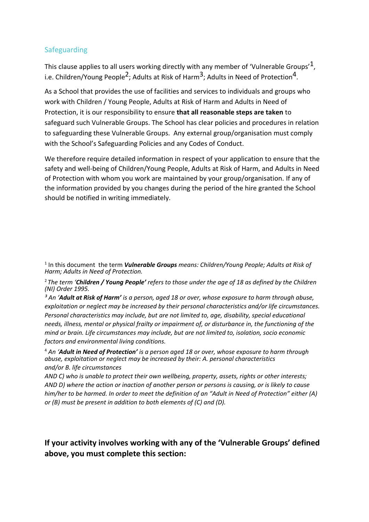# Safeguarding

This clause applies to all users working directly with any member of 'Vulnerable Groups'  $1$ . i.e. Children/Young People<sup>2</sup>; Adults at Risk of Harm<sup>3</sup>; Adults in Need of Protection<sup>4</sup>.

As a School that provides the use of facilities and services to individuals and groups who work with Children / Young People, Adults at Risk of Harm and Adults in Need of Protection, it is our responsibility to ensure **that all reasonable steps are taken** to safeguard such Vulnerable Groups. The School has clear policies and procedures in relation to safeguarding these Vulnerable Groups. Any external group/organisation must comply with the School's Safeguarding Policies and any Codes of Conduct.

We therefore require detailed information in respect of your application to ensure that the safety and well-being of Children/Young People, Adults at Risk of Harm, and Adults in Need of Protection with whom you work are maintained by your group/organisation. If any of the information provided by you changes during the period of the hire granted the School should be notified in writing immediately.

<sup>2</sup>*The term 'Children / Young People' refers to those under the age of 18 as defined by the Children (NI) Order 1995.* 

*³ An 'Adult at Risk of Harm' is a person, aged 18 or over, whose exposure to harm through abuse, exploitation or neglect may be increased by their personal characteristics and/or life circumstances. Personal characteristics may include, but are not limited to, age, disability, special educational needs, illness, mental or physical frailty or impairment of, or disturbance in, the functioning of the mind or brain. Life circumstances may include, but are not limited to, isolation, socio economic factors and environmental living conditions.*

<sup>4</sup> *An 'Adult in Need of Protection' is a person aged 18 or over, whose exposure to harm through abuse, exploitation or neglect may be increased by their: A. personal characteristics and/or B. life circumstances* 

*AND C) who is unable to protect their own wellbeing, property, assets, rights or other interests; AND D) where the action or inaction of another person or persons is causing, or is likely to cause him/her to be harmed. In order to meet the definition of an "Adult in Need of Protection" either (A) or (B) must be present in addition to both elements of (C) and (D).*

**If your activity involves working with any of the 'Vulnerable Groups' defined above, you must complete this section:**

<sup>&</sup>lt;sup>1</sup> In this document the term **Vulnerable Groups** means: Children/Young People; Adults at Risk of *Harm; Adults in Need of Protection.*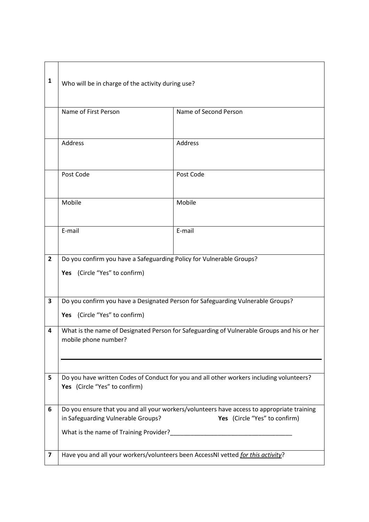| 1                       | Who will be in charge of the activity during use?                                                                                                                 |                                                                                  |
|-------------------------|-------------------------------------------------------------------------------------------------------------------------------------------------------------------|----------------------------------------------------------------------------------|
|                         | Name of First Person                                                                                                                                              | Name of Second Person                                                            |
|                         | Address                                                                                                                                                           | Address                                                                          |
|                         | Post Code                                                                                                                                                         | Post Code                                                                        |
|                         | Mobile                                                                                                                                                            | Mobile                                                                           |
|                         | E-mail                                                                                                                                                            | E-mail                                                                           |
| $\overline{2}$          | Do you confirm you have a Safeguarding Policy for Vulnerable Groups?<br>Yes (Circle "Yes" to confirm)                                                             |                                                                                  |
| 3                       | Do you confirm you have a Designated Person for Safeguarding Vulnerable Groups?<br>Yes (Circle "Yes" to confirm)                                                  |                                                                                  |
| 4                       | What is the name of Designated Person for Safeguarding of Vulnerable Groups and his or her<br>mobile phone number?                                                |                                                                                  |
| 5                       | Do you have written Codes of Conduct for you and all other workers including volunteers?<br>Yes (Circle "Yes" to confirm)                                         |                                                                                  |
| 6                       | Do you ensure that you and all your workers/volunteers have access to appropriate training<br>Yes (Circle "Yes" to confirm)<br>in Safeguarding Vulnerable Groups? |                                                                                  |
| $\overline{\mathbf{z}}$ |                                                                                                                                                                   | Have you and all your workers/volunteers been AccessNI vetted for this activity? |